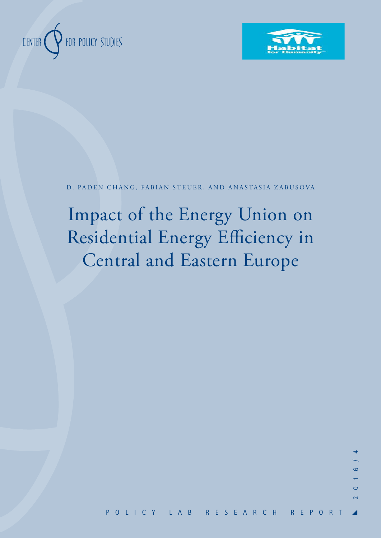



#### D. PADEN CHANG, FABIAN STEUER, AND ANASTASIA ZABUSOVA

# Impact of the Energy Union on Residential Energy Efficiency in Central and Eastern Europe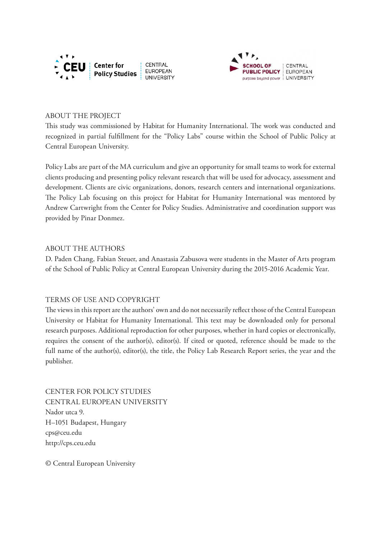



#### ABOUT THE PROJECT

This study was commissioned by Habitat for Humanity International. The work was conducted and recognized in partial fulfillment for the "Policy Labs" course within the School of Public Policy at Central European University.

Policy Labs are part of the MA curriculum and give an opportunity for small teams to work for external clients producing and presenting policy relevant research that will be used for advocacy, assessment and development. Clients are civic organizations, donors, research centers and international organizations. The Policy Lab focusing on this project for Habitat for Humanity International was mentored by Andrew Cartwright from the Center for Policy Studies. Administrative and coordination support was provided by Pinar Donmez.

#### ABOUT THE AUTHORS

D. Paden Chang, Fabian Steuer, and Anastasia Zabusova were students in the Master of Arts program of the School of Public Policy at Central European University during the 2015-2016 Academic Year.

### TERMS OF USE AND COPYRIGHT

The views in this report are the authors' own and do not necessarily reflect those of the Central European University or Habitat for Humanity International. This text may be downloaded only for personal research purposes. Additional reproduction for other purposes, whether in hard copies or electronically, requires the consent of the author(s), editor(s). If cited or quoted, reference should be made to the full name of the author(s), editor(s), the title, the Policy Lab Research Report series, the year and the publisher.

CENTER FOR POLICY STUDIES CENTRAL EUROPEAN UNIVERSITY Nador utca 9. H–1051 Budapest, Hungary cps@ceu.edu http://cps.ceu.edu

© Central European University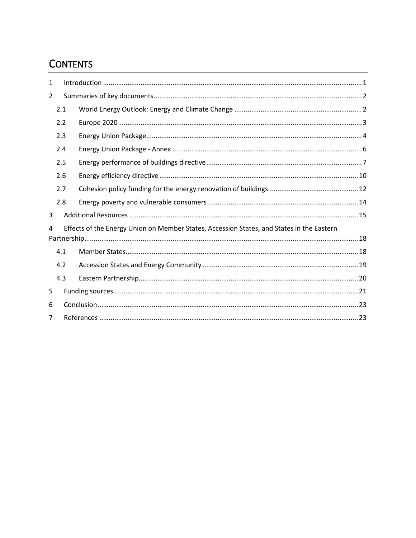# **CONTENTS**

| $\mathbf{1}$   |                                                                                           |  |  |  |  |  |  |  |
|----------------|-------------------------------------------------------------------------------------------|--|--|--|--|--|--|--|
| $\overline{2}$ |                                                                                           |  |  |  |  |  |  |  |
|                | 2.1                                                                                       |  |  |  |  |  |  |  |
| 2.2            |                                                                                           |  |  |  |  |  |  |  |
|                | 2.3                                                                                       |  |  |  |  |  |  |  |
|                | 2.4                                                                                       |  |  |  |  |  |  |  |
|                | 2.5                                                                                       |  |  |  |  |  |  |  |
|                | 2.6                                                                                       |  |  |  |  |  |  |  |
|                | 2.7                                                                                       |  |  |  |  |  |  |  |
|                | 2.8                                                                                       |  |  |  |  |  |  |  |
| 3              |                                                                                           |  |  |  |  |  |  |  |
| 4              | Effects of the Energy Union on Member States, Accession States, and States in the Eastern |  |  |  |  |  |  |  |
|                |                                                                                           |  |  |  |  |  |  |  |
|                | 4.1                                                                                       |  |  |  |  |  |  |  |
|                | 4.2                                                                                       |  |  |  |  |  |  |  |
|                | 4.3                                                                                       |  |  |  |  |  |  |  |
| 5              |                                                                                           |  |  |  |  |  |  |  |
| 6              |                                                                                           |  |  |  |  |  |  |  |
| 7              |                                                                                           |  |  |  |  |  |  |  |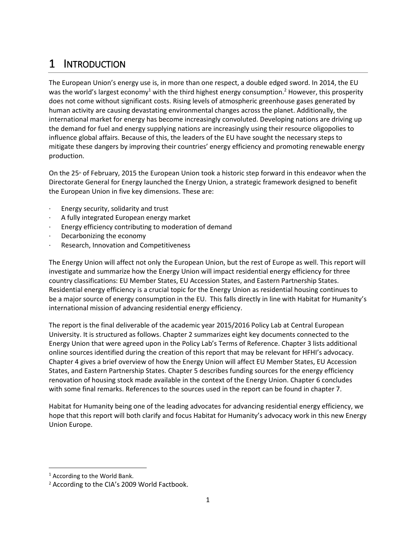# <span id="page-3-0"></span>1 INTRODUCTION

The European Union's energy use is, in more than one respect, a double edged sword. In 2014, the EU was the world's largest economy<sup>1</sup> with the third highest energy consumption.<sup>2</sup> However, this prosperity does not come without significant costs. Rising levels of atmospheric greenhouse gases generated by human activity are causing devastating environmental changes across the planet. Additionally, the international market for energy has become increasingly convoluted. Developing nations are driving up the demand for fuel and energy supplying nations are increasingly using their resource oligopolies to influence global affairs. Because of this, the leaders of the EU have sought the necessary steps to mitigate these dangers by improving their countries' energy efficiency and promoting renewable energy production.

On the 25<sup>th</sup> of February, 2015 the European Union took a historic step forward in this endeavor when the Directorate General for Energy launched the Energy Union, a strategic framework designed to benefit the European Union in five key dimensions. These are:

- Energy security, solidarity and trust
- A fully integrated European energy market
- Energy efficiency contributing to moderation of demand
- Decarbonizing the economy
- Research, Innovation and Competitiveness

The Energy Union will affect not only the European Union, but the rest of Europe as well. This report will investigate and summarize how the Energy Union will impact residential energy efficiency for three country classifications: EU Member States, EU Accession States, and Eastern Partnership States. Residential energy efficiency is a crucial topic for the Energy Union as residential housing continues to be a major source of energy consumption in the EU. This falls directly in line with Habitat for Humanity's international mission of advancing residential energy efficiency.

The report is the final deliverable of the academic year 2015/2016 Policy Lab at Central European University. It is structured as follows. Chapter 2 summarizes eight key documents connected to the Energy Union that were agreed upon in the Policy Lab's Terms of Reference. Chapter 3 lists additional online sources identified during the creation of this report that may be relevant for HFHI's advocacy. Chapter 4 gives a brief overview of how the Energy Union will affect EU Member States, EU Accession States, and Eastern Partnership States. Chapter 5 describes funding sources for the energy efficiency renovation of housing stock made available in the context of the Energy Union. Chapter 6 concludes with some final remarks. References to the sources used in the report can be found in chapter 7.

Habitat for Humanity being one of the leading advocates for advancing residential energy efficiency, we hope that this report will both clarify and focus Habitat for Humanity's advocacy work in this new Energy Union Europe.

 $\overline{\phantom{a}}$ 

<sup>&</sup>lt;sup>1</sup> According to the World Bank.

<sup>2</sup> According to the CIA's 2009 World Factbook.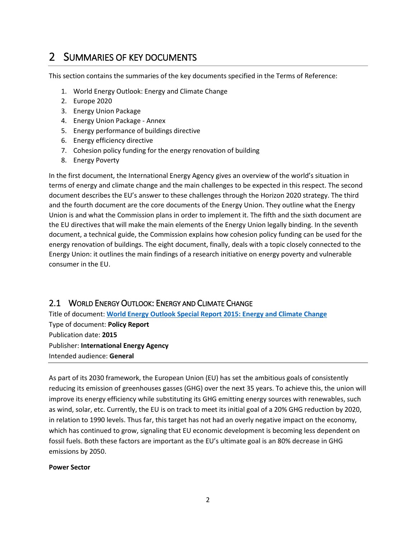# <span id="page-4-0"></span>2 SUMMARIES OF KEY DOCUMENTS

This section contains the summaries of the key documents specified in the Terms of Reference:

- 1. World Energy Outlook: Energy and Climate Change
- 2. Europe 2020
- 3. Energy Union Package
- 4. Energy Union Package Annex
- 5. Energy performance of buildings directive
- 6. Energy efficiency directive
- 7. Cohesion policy funding for the energy renovation of building
- 8. Energy Poverty

In the first document, the International Energy Agency gives an overview of the world's situation in terms of energy and climate change and the main challenges to be expected in this respect. The second document describes the EU's answer to these challenges through the Horizon 2020 strategy. The third and the fourth document are the core documents of the Energy Union. They outline what the Energy Union is and what the Commission plans in order to implement it. The fifth and the sixth document are the EU directives that will make the main elements of the Energy Union legally binding. In the seventh document, a technical guide, the Commission explains how cohesion policy funding can be used for the energy renovation of buildings. The eight document, finally, deals with a topic closely connected to the Energy Union: it outlines the main findings of a research initiative on energy poverty and vulnerable consumer in the EU.

# <span id="page-4-1"></span>2.1 WORLD ENERGY OUTLOOK: ENERGY AND CLIMATE CHANGE

Title of document: **[World Energy Outlook Special Report 2015: Energy and Climate Change](https://www.iea.org/publications/freepublications/publication/weo-2015-special-report-energy-climate-change.html)** Type of document: **Policy Report** Publication date: **2015** Publisher: **International Energy Agency**  Intended audience: **General**

As part of its 2030 framework, the European Union (EU) has set the ambitious goals of consistently reducing its emission of greenhouses gasses (GHG) over the next 35 years. To achieve this, the union will improve its energy efficiency while substituting its GHG emitting energy sources with renewables, such as wind, solar, etc. Currently, the EU is on track to meet its initial goal of a 20% GHG reduction by 2020, in relation to 1990 levels. Thus far, this target has not had an overly negative impact on the economy, which has continued to grow, signaling that EU economic development is becoming less dependent on fossil fuels. Both these factors are important as the EU's ultimate goal is an 80% decrease in GHG emissions by 2050.

#### **Power Sector**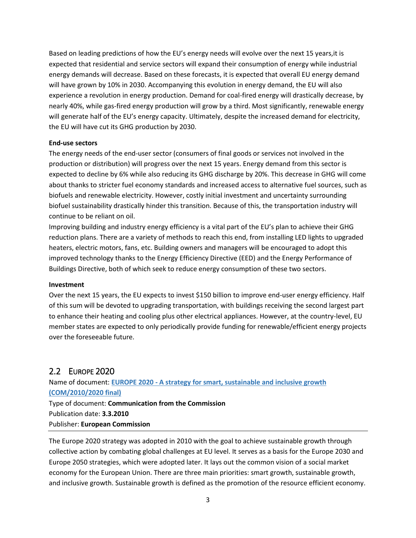Based on leading predictions of how the EU's energy needs will evolve over the next 15 years,it is expected that residential and service sectors will expand their consumption of energy while industrial energy demands will decrease. Based on these forecasts, it is expected that overall EU energy demand will have grown by 10% in 2030. Accompanying this evolution in energy demand, the EU will also experience a revolution in energy production. Demand for coal-fired energy will drastically decrease, by nearly 40%, while gas-fired energy production will grow by a third. Most significantly, renewable energy will generate half of the EU's energy capacity. Ultimately, despite the increased demand for electricity, the EU will have cut its GHG production by 2030.

#### **End-use sectors**

The energy needs of the end-user sector (consumers of final goods or services not involved in the production or distribution) will progress over the next 15 years. Energy demand from this sector is expected to decline by 6% while also reducing its GHG discharge by 20%. This decrease in GHG will come about thanks to stricter fuel economy standards and increased access to alternative fuel sources, such as biofuels and renewable electricity. However, costly initial investment and uncertainty surrounding biofuel sustainability drastically hinder this transition. Because of this, the transportation industry will continue to be reliant on oil.

Improving building and industry energy efficiency is a vital part of the EU's plan to achieve their GHG reduction plans. There are a variety of methods to reach this end, from installing LED lights to upgraded heaters, electric motors, fans, etc. Building owners and managers will be encouraged to adopt this improved technology thanks to the Energy Efficiency Directive (EED) and the Energy Performance of Buildings Directive, both of which seek to reduce energy consumption of these two sectors.

#### **Investment**

Over the next 15 years, the EU expects to invest \$150 billion to improve end-user energy efficiency. Half of this sum will be devoted to upgrading transportation, with buildings receiving the second largest part to enhance their heating and cooling plus other electrical appliances. However, at the country-level, EU member states are expected to only periodically provide funding for renewable/efficient energy projects over the foreseeable future.

### <span id="page-5-0"></span>2.2 EUROPE 2020

Name of document: **EUROPE 2020 - [A strategy for smart, sustainable and inclusive growth](http://eur-lex.europa.eu/legal-content/EN/TXT/?uri=celex:52010DC2020)  [\(COM/2010/2020 final\)](http://eur-lex.europa.eu/legal-content/EN/TXT/?uri=celex:52010DC2020)** Type of document: **Communication from the Commission** Publication date: **3.3.2010** Publisher: **European Commission**

The Europe 2020 strategy was adopted in 2010 with the goal to achieve sustainable growth through collective action by combating global challenges at EU level. It serves as a basis for the Europe 2030 and Europe 2050 strategies, which were adopted later. It lays out the common vision of a social market economy for the European Union. There are three main priorities: smart growth, sustainable growth, and inclusive growth. Sustainable growth is defined as the promotion of the resource efficient economy.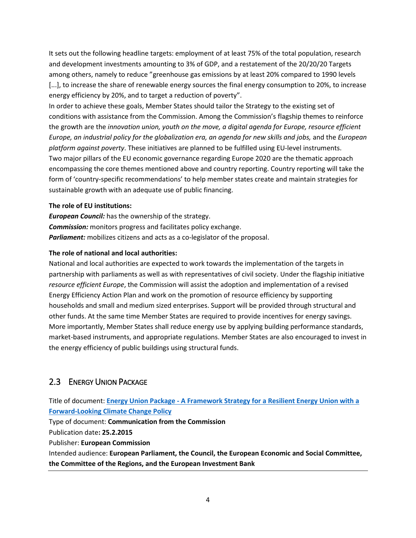It sets out the following headline targets: employment of at least 75% of the total population, research and development investments amounting to 3% of GDP, and a restatement of the 20/20/20 Targets among others, namely to reduce "greenhouse gas emissions by at least 20% compared to 1990 levels [...], to increase the share of renewable energy sources the final energy consumption to 20%, to increase energy efficiency by 20%, and to target a reduction of poverty".

In order to achieve these goals, Member States should tailor the Strategy to the existing set of conditions with assistance from the Commission. Among the Commission's flagship themes to reinforce the growth are the *innovation union, youth on the move, a digital agenda for Europe, resource efficient Europe, an industrial policy for the globalization era, an agenda for new skills and jobs, and the <i>European platform against poverty*. These initiatives are planned to be fulfilled using EU-level instruments. Two major pillars of the EU economic governance regarding Europe 2020 are the thematic approach encompassing the core themes mentioned above and country reporting. Country reporting will take the form of 'country-specific recommendations' to help member states create and maintain strategies for sustainable growth with an adequate use of public financing.

#### **The role of EU institutions:**

*European Council:* has the ownership of the strategy. *Commission:* monitors progress and facilitates policy exchange. Parliament: mobilizes citizens and acts as a co-legislator of the proposal.

#### **The role of national and local authorities:**

National and local authorities are expected to work towards the implementation of the targets in partnership with parliaments as well as with representatives of civil society. Under the flagship initiative *resource efficient Europe*, the Commission will assist the adoption and implementation of a revised Energy Efficiency Action Plan and work on the promotion of resource efficiency by supporting households and small and medium sized enterprises. Support will be provided through structural and other funds. At the same time Member States are required to provide incentives for energy savings. More importantly, Member States shall reduce energy use by applying building performance standards, market-based instruments, and appropriate regulations. Member States are also encouraged to invest in the energy efficiency of public buildings using structural funds.

# <span id="page-6-0"></span>2.3 ENERGY UNION PACKAGE

Title of document: **Energy Union Package - [A Framework Strategy for a Resilient Energy Union with a](http://eur-lex.europa.eu/resource.html?uri=cellar:1bd46c90-bdd4-11e4-bbe1-01aa75ed71a1.0001.03/DOC_1&format=PDF)  [Forward-Looking Climate Change Policy](http://eur-lex.europa.eu/resource.html?uri=cellar:1bd46c90-bdd4-11e4-bbe1-01aa75ed71a1.0001.03/DOC_1&format=PDF)**

Type of document: **Communication from the Commission**

Publication date**: 25.2.2015**

Publisher: **European Commission**

Intended audience: **European Parliament, the Council, the European Economic and Social Committee, the Committee of the Regions, and the European Investment Bank**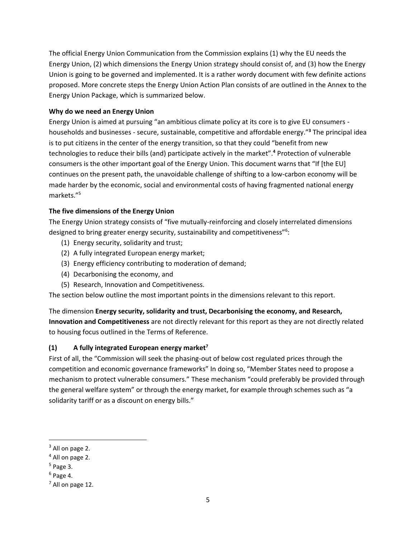The official Energy Union Communication from the Commission explains (1) why the EU needs the Energy Union, (2) which dimensions the Energy Union strategy should consist of, and (3) how the Energy Union is going to be governed and implemented. It is a rather wordy document with few definite actions proposed. More concrete steps the Energy Union Action Plan consists of are outlined in the Annex to the Energy Union Package, which is summarized below.

#### **Why do we need an Energy Union**

Energy Union is aimed at pursuing "an ambitious climate policy at its core is to give EU consumers households and businesses - secure, sustainable, competitive and affordable energy."**<sup>3</sup>** The principal idea is to put citizens in the center of the energy transition, so that they could "benefit from new technologies to reduce their bills (and) participate actively in the market".**<sup>4</sup>** Protection of vulnerable consumers is the other important goal of the Energy Union. This document warns that "If [the EU] continues on the present path, the unavoidable challenge of shifting to a low-carbon economy will be made harder by the economic, social and environmental costs of having fragmented national energy markets."<sup>5</sup>

#### **The five dimensions of the Energy Union**

The Energy Union strategy consists of "five mutually-reinforcing and closely interrelated dimensions designed to bring greater energy security, sustainability and competitiveness"<sup>6</sup>:

- (1) Energy security, solidarity and trust;
- (2) A fully integrated European energy market;
- (3) Energy efficiency contributing to moderation of demand;
- (4) Decarbonising the economy, and
- (5) Research, Innovation and Competitiveness.

The section below outline the most important points in the dimensions relevant to this report.

The dimension **Energy security, solidarity and trust, Decarbonising the economy, and Research, Innovation and Competitiveness** are not directly relevant for this report as they are not directly related to housing focus outlined in the Terms of Reference.

#### **(1) A fully integrated European energy market<sup>7</sup>**

First of all, the "Commission will seek the phasing-out of below cost regulated prices through the competition and economic governance frameworks" In doing so, "Member States need to propose a mechanism to protect vulnerable consumers." These mechanism "could preferably be provided through the general welfare system" or through the energy market, for example through schemes such as "a solidarity tariff or as a discount on energy bills."

l

 $3$  All on page 2.

<sup>4</sup> All on page 2.

<sup>5</sup> Page 3.

<sup>&</sup>lt;sup>6</sup> Page 4.

 $<sup>7</sup>$  All on page 12.</sup>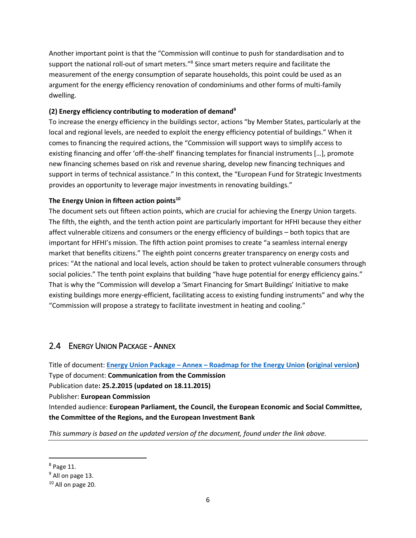Another important point is that the "Commission will continue to push for standardisation and to support the national roll-out of smart meters."<sup>8</sup> Since smart meters require and facilitate the measurement of the energy consumption of separate households, this point could be used as an argument for the energy efficiency renovation of condominiums and other forms of multi-family dwelling.

#### **(2) Energy efficiency contributing to moderation of demand<sup>9</sup>**

To increase the energy efficiency in the buildings sector, actions "by Member States, particularly at the local and regional levels, are needed to exploit the energy efficiency potential of buildings." When it comes to financing the required actions, the "Commission will support ways to simplify access to existing financing and offer 'off-the-shelf' financing templates for financial instruments […], promote new financing schemes based on risk and revenue sharing, develop new financing techniques and support in terms of technical assistance." In this context, the "European Fund for Strategic Investments provides an opportunity to leverage major investments in renovating buildings."

#### **The Energy Union in fifteen action points<sup>10</sup>**

The document sets out fifteen action points, which are crucial for achieving the Energy Union targets. The fifth, the eighth, and the tenth action point are particularly important for HFHI because they either affect vulnerable citizens and consumers or the energy efficiency of buildings – both topics that are important for HFHI's mission. The fifth action point promises to create "a seamless internal energy market that benefits citizens." The eighth point concerns greater transparency on energy costs and prices: "At the national and local levels, action should be taken to protect vulnerable consumers through social policies." The tenth point explains that building "have huge potential for energy efficiency gains." That is why the "Commission will develop a 'Smart Financing for Smart Buildings' Initiative to make existing buildings more energy-efficient, facilitating access to existing funding instruments" and why the "Commission will propose a strategy to facilitate investment in heating and cooling."

### <span id="page-8-0"></span>2.4 ENERGY UNION PACKAGE - ANNEX

Title of document: **Energy Union Package – Annex – [Roadmap for the Energy Union](http://eur-lex.europa.eu/resource.html?uri=cellar:ebdf266c-8eab-11e5-983e-01aa75ed71a1.0008.03/DOC_3&format=HTML&lang=EN&parentUrn=CELEX:52015DC0572) [\(original version\)](http://eur-lex.europa.eu/resource.html?uri=cellar:1bd46c90-bdd4-11e4-bbe1-01aa75ed71a1.0001.03/DOC_2&format=PDF)** Type of document: **Communication from the Commission** Publication date**: 25.2.2015 (updated on 18.11.2015)** Publisher: **European Commission** Intended audience: **European Parliament, the Council, the European Economic and Social Committee, the Committee of the Regions, and the European Investment Bank**

*This summary is based on the updated version of the document, found under the link above.*

 $\overline{\phantom{a}}$ 

<sup>8</sup> Page 11.

 $9$  All on page 13.

 $10$  All on page 20.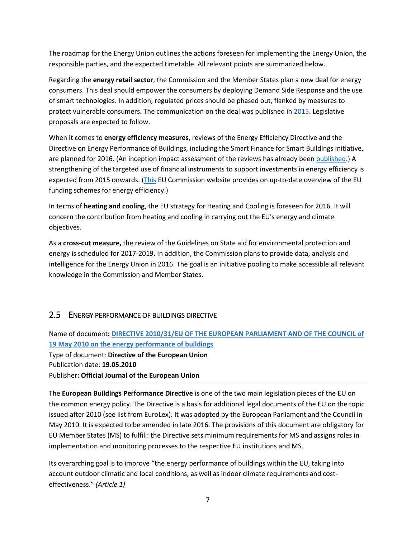The roadmap for the Energy Union outlines the actions foreseen for implementing the Energy Union, the responsible parties, and the expected timetable. All relevant points are summarized below.

Regarding the **energy retail sector**, the Commission and the Member States plan a new deal for energy consumers. This deal should empower the consumers by deploying Demand Side Response and the use of smart technologies. In addition, regulated prices should be phased out, flanked by measures to protect vulnerable consumers. The communication on the deal was published i[n 2015.](https://ec.europa.eu/energy/sites/ener/files/documents/1_EN_ACT_part1_v8.pdf) Legislative proposals are expected to follow.

When it comes to **energy efficiency measures**, reviews of the Energy Efficiency Directive and the Directive on Energy Performance of Buildings, including the Smart Finance for Smart Buildings initiative, are planned for 2016. (An inception impact assessment of the reviews has already bee[n published.](http://ec.europa.eu/smart-regulation/roadmaps/docs/2016_ener_001_epbd_smart_buildings_en.pdf)) A strengthening of the targeted use of financial instruments to support investments in energy efficiency is expected from 2015 onwards. [\(This](https://ec.europa.eu/energy/en/topics/energy-efficiency/financing-energy-efficiency) EU Commission website provides on up-to-date overview of the EU funding schemes for energy efficiency.)

In terms of **heating and cooling**, the EU strategy for Heating and Cooling is foreseen for 2016. It will concern the contribution from heating and cooling in carrying out the EU's energy and climate objectives.

As a **cross-cut measure,** the review of the Guidelines on State aid for environmental protection and energy is scheduled for 2017-2019. In addition, the Commission plans to provide data, analysis and intelligence for the Energy Union in 2016. The goal is an initiative pooling to make accessible all relevant knowledge in the Commission and Member States.

# <span id="page-9-0"></span>2.5 ENERGY PERFORMANCE OF BUILDINGS DIRECTIVE

Name of document**: [DIRECTIVE 2010/31/EU OF THE EUROPEAN PARLIAMENT AND OF THE COUNCIL of](http://eur-lex.europa.eu/LexUriServ/LexUriServ.do?uri=OJ:L:2010:153:0013:0035:EN:PDF)  [19 May 2010 on the energy performance of buildings](http://eur-lex.europa.eu/LexUriServ/LexUriServ.do?uri=OJ:L:2010:153:0013:0035:EN:PDF)** Type of document: **Directive of the European Union** Publication date: **19.05.2010** Publisher**: Official Journal of the European Union**

The **European Buildings Performance Directive** is one of the two main legislation pieces of the EU on the common energy policy. The Directive is a basis for additional legal documents of the EU on the topic issued after 2010 (se[e list from EuroLex\)](http://eur-lex.europa.eu/search.html?LB=32010L0031&qid=1458911632728&SELECT=LB_DISPLAY&DTS_DOM=ALL&type=advanced&lang=en&SUBDOM_INIT=ALL_ALL&DTS_SUBDOM=ALL_ALL). It was adopted by the European Parliament and the Council in May 2010. It is expected to be amended in late 2016. The provisions of this document are obligatory for EU Member States (MS) to fulfill: the Directive sets minimum requirements for MS and assigns roles in implementation and monitoring processes to the respective EU institutions and MS.

Its overarching goal is to improve "the energy performance of buildings within the EU, taking into account outdoor climatic and local conditions, as well as indoor climate requirements and costeffectiveness." *(Article 1)*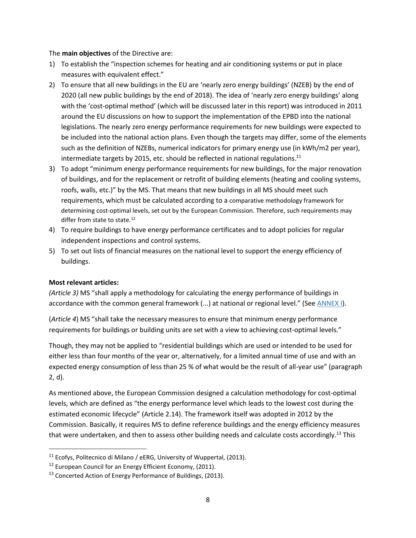The **main objectives** of the Directive are:

- 1) To establish the "inspection schemes for heating and air conditioning systems or put in place measures with equivalent effect."
- 2) To ensure that all new buildings in the EU are 'nearly zero energy buildings' (NZEB) by the end of 2020 (all new public buildings by the end of 2018). The idea of 'nearly zero energy buildings' along with the 'cost-optimal method' (which will be discussed later in this report) was introduced in 2011 around the EU discussions on how to support the implementation of the EPBD into the national legislations. The nearly zero energy performance requirements for new buildings were expected to be included into the national action plans. Even though the targets may differ, some of the elements such as the definition of NZEBs, numerical indicators for primary energy use (in kWh/m2 per year), intermediate targets by 2015, etc. should be reflected in national regulations.<sup>11</sup>
- 3) To adopt "minimum energy performance requirements for new buildings, for the major renovation of buildings, and for the replacement or retrofit of building elements (heating and cooling systems, roofs, walls, etc.)" by the MS. That means that new buildings in all MS should meet such requirements, which must be calculated according to a comparative methodology framework for determining cost-optimal levels, set out by the European Commission. Therefore, such requirements may differ from state to state.<sup>12</sup>
- 4) To require buildings to have energy performance certificates and to adopt policies for regular independent inspections and control systems.
- 5) To set out lists of financial measures on the national level to support the energy efficiency of buildings.

#### **Most relevant articles:**

l

*(Article 3)* MS "shall apply a methodology for calculating the energy performance of buildings in accordance with the common general framework (...) at national or regional level." (See [ANNEX I\)](http://eur-lex.europa.eu/legal-content/EN/ALL/;ELX_SESSIONID=FZMjThLLzfxmmMCQGp2Y1s2d3TjwtD8QS3pqdkhXZbwqGwlgY9KN!2064651424?uri=CELEX:32010L0031).

(*Article 4*) MS "shall take the necessary measures to ensure that minimum energy performance requirements for buildings or building units are set with a view to achieving cost-optimal levels."

Though, they may not be applied to "residential buildings which are used or intended to be used for either less than four months of the year or, alternatively, for a limited annual time of use and with an expected energy consumption of less than 25 % of what would be the result of all-year use" (paragraph 2, d).

As mentioned above, the European Commission designed a calculation methodology for cost-optimal levels, which are defined as "the energy performance level which leads to the lowest cost during the estimated economic lifecycle" (Article 2.14). The framework itself was adopted in 2012 by the Commission. Basically, it requires MS to define reference buildings and the energy efficiency measures that were undertaken, and then to assess other building needs and calculate costs accordingly.<sup>13</sup> This

 $11$  Ecofys, Politecnico di Milano / eERG, University of Wuppertal, (2013).

<sup>&</sup>lt;sup>12</sup> European Council for an Energy Efficient Economy, (2011).

<sup>&</sup>lt;sup>13</sup> Concerted Action of Energy Performance of Buildings, (2013).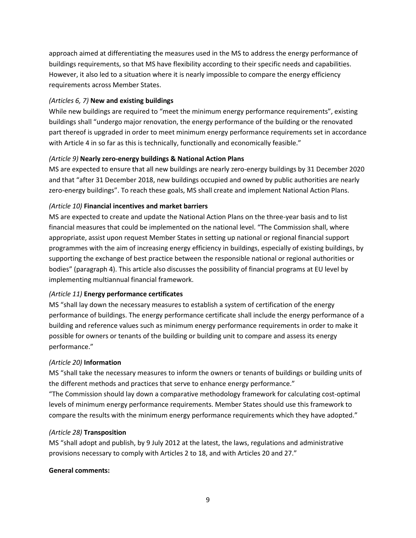approach aimed at differentiating the measures used in the MS to address the energy performance of buildings requirements, so that MS have flexibility according to their specific needs and capabilities. However, it also led to a situation where it is nearly impossible to compare the energy efficiency requirements across Member States.

#### *(Articles 6, 7)* **New and existing buildings**

While new buildings are required to "meet the minimum energy performance requirements", existing buildings shall "undergo major renovation, the energy performance of the building or the renovated part thereof is upgraded in order to meet minimum energy performance requirements set in accordance with Article 4 in so far as this is technically, functionally and economically feasible."

#### *(Article 9)* **Nearly zero-energy buildings & National Action Plans**

MS are expected to ensure that all new buildings are nearly zero-energy buildings by 31 December 2020 and that "after 31 December 2018, new buildings occupied and owned by public authorities are nearly zero-energy buildings". To reach these goals, MS shall create and implement National Action Plans.

#### *(Article 10)* **Financial incentives and market barriers**

MS are expected to сreate and update the National Action Plans on the three-year basis and to list financial measures that could be implemented on the national level. "The Commission shall, where appropriate, assist upon request Member States in setting up national or regional financial support programmes with the aim of increasing energy efficiency in buildings, especially of existing buildings, by supporting the exchange of best practice between the responsible national or regional authorities or bodies" (paragraph 4). This article also discusses the possibility of financial programs at EU level by implementing multiannual financial framework.

#### *(Article 11)* **Energy performance certificates**

MS "shall lay down the necessary measures to establish a system of certification of the energy performance of buildings. The energy performance certificate shall include the energy performance of a building and reference values such as minimum energy performance requirements in order to make it possible for owners or tenants of the building or building unit to compare and assess its energy performance."

#### *(Article 20)* **Information**

MS "shall take the necessary measures to inform the owners or tenants of buildings or building units of the different methods and practices that serve to enhance energy performance."

"The Commission should lay down a comparative methodology framework for calculating cost-optimal levels of minimum energy performance requirements. Member States should use this framework to compare the results with the minimum energy performance requirements which they have adopted."

#### *(Article 28)* **Transposition**

MS "shall adopt and publish, by 9 July 2012 at the latest, the laws, regulations and administrative provisions necessary to comply with Articles 2 to 18, and with Articles 20 and 27."

#### **General comments:**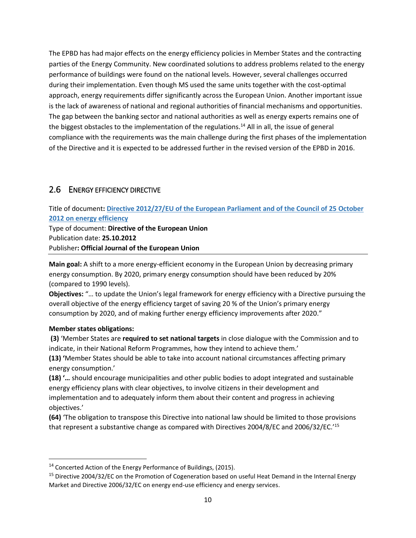The EPBD has had major effects on the energy efficiency policies in Member States and the contracting parties of the Energy Community. New coordinated solutions to address problems related to the energy performance of buildings were found on the national levels. However, several challenges occurred during their implementation. Even though MS used the same units together with the cost-optimal approach, energy requirements differ significantly across the European Union. Another important issue is the lack of awareness of national and regional authorities of financial mechanisms and opportunities. The gap between the banking sector and national authorities as well as energy experts remains one of the biggest obstacles to the implementation of the regulations.<sup>14</sup> All in all, the issue of general compliance with the requirements was the main challenge during the first phases of the implementation of the Directive and it is expected to be addressed further in the revised version of the EPBD in 2016.

# <span id="page-12-0"></span>2.6 ENERGY EFFICIENCY DIRECTIVE

Title of document**: [Directive 2012/27/EU of the European Parliament and of the Council of 25](http://eur-lex.europa.eu/LexUriServ/LexUriServ.do?uri=OJ:L:2012:315:0001:0056:en:PDF) October [2012 on energy efficiency](http://eur-lex.europa.eu/LexUriServ/LexUriServ.do?uri=OJ:L:2012:315:0001:0056:en:PDF)**

Type of document: **Directive of the European Union** Publication date: **25.10.2012** Publisher**: Official Journal of the European Union**

**Main goal:** A shift to a more energy-efficient economy in the European Union by decreasing primary energy consumption. By 2020, primary energy consumption should have been reduced by 20% (compared to 1990 levels).

**Objectives:** "… to update the Union's legal framework for energy efficiency with a Directive pursuing the overall objective of the energy efficiency target of saving 20 % of the Union's primary energy consumption by 2020, and of making further energy efficiency improvements after 2020."

#### **Member states obligations:**

l

**(3)** 'Member States are **required to set national targets** in close dialogue with the Commission and to indicate, in their National Reform Programmes, how they intend to achieve them.'

**(13) '**Member States should be able to take into account national circumstances affecting primary energy consumption.'

**(18) '…** should encourage municipalities and other public bodies to adopt integrated and sustainable energy efficiency plans with clear objectives, to involve citizens in their development and implementation and to adequately inform them about their content and progress in achieving objectives.'

**(64)** 'The obligation to transpose this Directive into national law should be limited to those provisions that represent a substantive change as compared with Directives 2004/8/EC and 2006/32/EC.'<sup>15</sup>

<sup>&</sup>lt;sup>14</sup> Concerted Action of the Energy Performance of Buildings, (2015).

<sup>&</sup>lt;sup>15</sup> Directive 2004/32/EC on the Promotion of Cogeneration based on useful Heat Demand in the Internal Energy Market and Directive 2006/32/EC on energy end-use efficiency and energy services.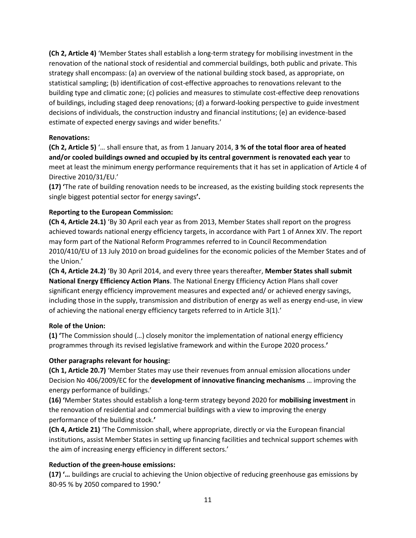**(Ch 2, Article 4)** 'Member States shall establish a long-term strategy for mobilising investment in the renovation of the national stock of residential and commercial buildings, both public and private. This strategy shall encompass: (a) an overview of the national building stock based, as appropriate, on statistical sampling; (b) identification of cost-effective approaches to renovations relevant to the building type and climatic zone; (c) policies and measures to stimulate cost-effective deep renovations of buildings, including staged deep renovations; (d) a forward-looking perspective to guide investment decisions of individuals, the construction industry and financial institutions; (e) an evidence-based estimate of expected energy savings and wider benefits.'

#### **Renovations:**

**(Ch 2, Article 5)** '… shall ensure that, as from 1 January 2014, **3 % of the total floor area of heated and/or cooled buildings owned and occupied by its central government is renovated each year** to meet at least the minimum energy performance requirements that it has set in application of Article 4 of Directive 2010/31/EU.'

**(17) '**The rate of building renovation needs to be increased, as the existing building stock represents the single biggest potential sector for energy savings**'.**

#### **Reporting to the European Commission:**

**(Ch 4, Article 24.1)** 'By 30 April each year as from 2013, Member States shall report on the progress achieved towards national energy efficiency targets, in accordance with Part 1 of Annex XIV. The report may form part of the National Reform Programmes referred to in Council Recommendation 2010/410/EU of 13 July 2010 on broad guidelines for the economic policies of the Member States and of the Union.'

**(Ch 4, Article 24.2)** 'By 30 April 2014, and every three years thereafter, **Member States shall submit National Energy Efficiency Action Plans**. The National Energy Efficiency Action Plans shall cover significant energy efficiency improvement measures and expected and/ or achieved energy savings, including those in the supply, transmission and distribution of energy as well as energy end-use, in view of achieving the national energy efficiency targets referred to in Article 3(1).'

#### **Role of the Union:**

**(1) '**The Commission should (…) closely monitor the implementation of national energy efficiency programmes through its revised legislative framework and within the Europe 2020 process.**'**

#### **Other paragraphs relevant for housing:**

**(Ch 1, Article 20.7)** 'Member States may use their revenues from annual emission allocations under Decision No 406/2009/EC for the **development of innovative financing mechanisms** … improving the energy performance of buildings.'

**(16) '**Member States should establish a long-term strategy beyond 2020 for **mobilising investment** in the renovation of residential and commercial buildings with a view to improving the energy performance of the building stock.**'**

**(Ch 4, Article 21)** 'The Commission shall, where appropriate, directly or via the European financial institutions, assist Member States in setting up financing facilities and technical support schemes with the aim of increasing energy efficiency in different sectors.'

### **Reduction of the green-house emissions:**

**(17) '…** buildings are crucial to achieving the Union objective of reducing greenhouse gas emissions by 80-95 % by 2050 compared to 1990.**'**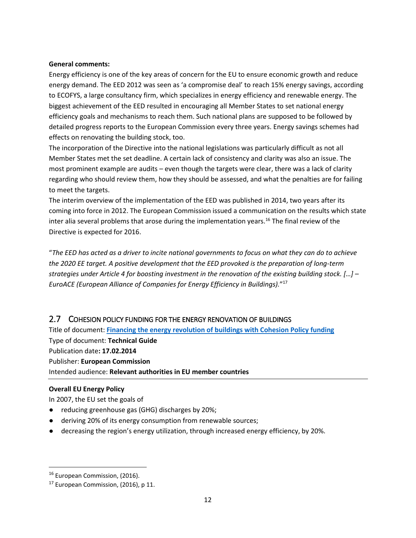#### **General comments:**

Energy efficiency is one of the key areas of concern for the EU to ensure economic growth and reduce energy demand. The EED 2012 was seen as 'a compromise deal' to reach 15% energy savings, according to ECOFYS, a large consultancy firm, which specializes in energy efficiency and renewable energy. The biggest achievement of the EED resulted in encouraging all Member States to set national energy efficiency goals and mechanisms to reach them. Such national plans are supposed to be followed by detailed progress reports to the European Commission every three years. Energy savings schemes had effects on renovating the building stock, too.

The incorporation of the Directive into the national legislations was particularly difficult as not all Member States met the set deadline. A certain lack of consistency and clarity was also an issue. The most prominent example are audits – even though the targets were clear, there was a lack of clarity regarding who should review them, how they should be assessed, and what the penalties are for failing to meet the targets.

The interim overview of the implementation of the EED was published in 2014, two years after its coming into force in 2012. The European Commission issued a communication on the results which state inter alia several problems that arose during the implementation years.<sup>16</sup> The final review of the Directive is expected for 2016.

"*The EED has acted as a driver to incite national governments to focus on what they can do to achieve the 2020 EE target. A positive development that the EED provoked is the preparation of long-term strategies under Article 4 for boosting investment in the renovation of the existing building stock. […] – EuroACE (European Alliance of Companies for Energy Efficiency in Buildings).*" 17

# <span id="page-14-0"></span>2.7 COHESION POLICY FUNDING FOR THE ENERGY RENOVATION OF BUILDINGS

Title of document: **[Financing the energy revolution of buildings with Cohesion Policy funding](http://ec.europa.eu/regional_policy/sources/docgener/studies/pdf/financing_energy_renovation.pdf)** Type of document: **Technical Guide** Publication date**: 17.02.2014** Publisher: **European Commission** Intended audience: **Relevant authorities in EU member countries**

#### **Overall EU Energy Policy**

In 2007, the EU set the goals of

- reducing greenhouse gas (GHG) discharges by 20%;
- deriving 20% of its energy consumption from renewable sources;
- decreasing the region's energy utilization, through increased energy efficiency, by 20%.

 $\overline{\phantom{a}}$ 

<sup>&</sup>lt;sup>16</sup> European Commission, (2016).

 $17$  European Commission, (2016), p 11.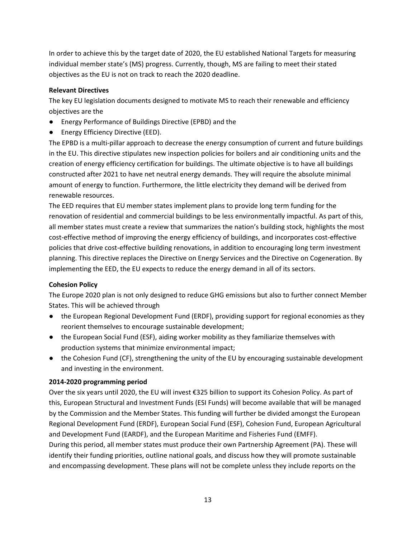In order to achieve this by the target date of 2020, the EU established National Targets for measuring individual member state's (MS) progress. Currently, though, MS are failing to meet their stated objectives as the EU is not on track to reach the 2020 deadline.

#### **Relevant Directives**

The key EU legislation documents designed to motivate MS to reach their renewable and efficiency objectives are the

- Energy Performance of Buildings Directive (EPBD) and the
- Energy Efficiency Directive (EED).

The EPBD is a multi-pillar approach to decrease the energy consumption of current and future buildings in the EU. This directive stipulates new inspection policies for boilers and air conditioning units and the creation of energy efficiency certification for buildings. The ultimate objective is to have all buildings constructed after 2021 to have net neutral energy demands. They will require the absolute minimal amount of energy to function. Furthermore, the little electricity they demand will be derived from renewable resources.

The EED requires that EU member states implement plans to provide long term funding for the renovation of residential and commercial buildings to be less environmentally impactful. As part of this, all member states must create a review that summarizes the nation's building stock, highlights the most cost-effective method of improving the energy efficiency of buildings, and incorporates cost-effective policies that drive cost-effective building renovations, in addition to encouraging long term investment planning. This directive replaces the Directive on Energy Services and the Directive on Cogeneration. By implementing the EED, the EU expects to reduce the energy demand in all of its sectors.

#### **Cohesion Policy**

The Europe 2020 plan is not only designed to reduce GHG emissions but also to further connect Member States. This will be achieved through

- the European Regional Development Fund (ERDF), providing support for regional economies as they reorient themselves to encourage sustainable development;
- the European Social Fund (ESF), aiding worker mobility as they familiarize themselves with production systems that minimize environmental impact;
- the Cohesion Fund (CF), strengthening the unity of the EU by encouraging sustainable development and investing in the environment.

#### **2014‐2020 programming period**

Over the six years until 2020, the EU will invest €325 billion to support its Cohesion Policy. As part of this, European Structural and Investment Funds (ESI Funds) will become available that will be managed by the Commission and the Member States. This funding will further be divided amongst the European Regional Development Fund (ERDF), European Social Fund (ESF), Cohesion Fund, European Agricultural and Development Fund (EARDF), and the European Maritime and Fisheries Fund (EMFF).

During this period, all member states must produce their own Partnership Agreement (PA). These will identify their funding priorities, outline national goals, and discuss how they will promote sustainable and encompassing development. These plans will not be complete unless they include reports on the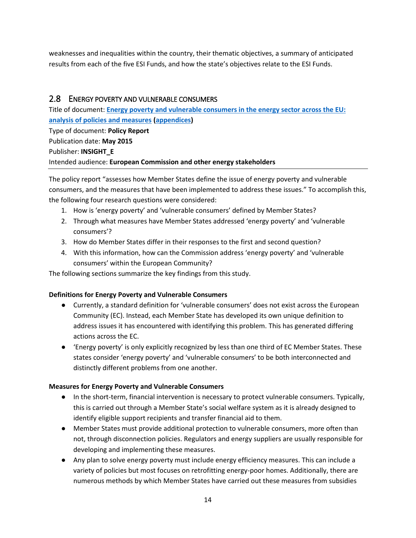weaknesses and inequalities within the country, their thematic objectives, a summary of anticipated results from each of the five ESI Funds, and how the state's objectives relate to the ESI Funds.

## <span id="page-16-0"></span>2.8 ENERGY POVERTY AND VULNERABLE CONSUMERS

Title of document: **[Energy poverty and vulnerable consumers in the energy sector across the EU:](https://ec.europa.eu/energy/sites/ener/files/documents/INSIGHT_E_Energy%20Poverty%20-%20Main%20Report_FINAL.pdf)  [analysis of policies and measures](https://ec.europa.eu/energy/sites/ener/files/documents/INSIGHT_E_Energy%20Poverty%20-%20Main%20Report_FINAL.pdf) [\(appendices\)](http://ec.europa.eu/energy/sites/ener/files/documents/INSIGHT_E_Energy%20Poverty_Appendices.pdf)** Type of document: **Policy Report** Publication date: **May 2015** Publisher: **INSIGHT\_E** Intended audience: **European Commission and other energy stakeholders**

The policy report "assesses how Member States define the issue of energy poverty and vulnerable consumers, and the measures that have been implemented to address these issues." To accomplish this, the following four research questions were considered:

- 1. How is 'energy poverty' and 'vulnerable consumers' defined by Member States?
- 2. Through what measures have Member States addressed 'energy poverty' and 'vulnerable consumers'?
- 3. How do Member States differ in their responses to the first and second question?
- 4. With this information, how can the Commission address 'energy poverty' and 'vulnerable consumers' within the European Community?

The following sections summarize the key findings from this study.

### **Definitions for Energy Poverty and Vulnerable Consumers**

- Currently, a standard definition for 'vulnerable consumers' does not exist across the European Community (EC). Instead, each Member State has developed its own unique definition to address issues it has encountered with identifying this problem. This has generated differing actions across the EC.
- 'Energy poverty' is only explicitly recognized by less than one third of EC Member States. These states consider 'energy poverty' and 'vulnerable consumers' to be both interconnected and distinctly different problems from one another.

### **Measures for Energy Poverty and Vulnerable Consumers**

- In the short-term, financial intervention is necessary to protect vulnerable consumers. Typically, this is carried out through a Member State's social welfare system as it is already designed to identify eligible support recipients and transfer financial aid to them.
- Member States must provide additional protection to vulnerable consumers, more often than not, through disconnection policies. Regulators and energy suppliers are usually responsible for developing and implementing these measures.
- Any plan to solve energy poverty must include energy efficiency measures. This can include a variety of policies but most focuses on retrofitting energy-poor homes. Additionally, there are numerous methods by which Member States have carried out these measures from subsidies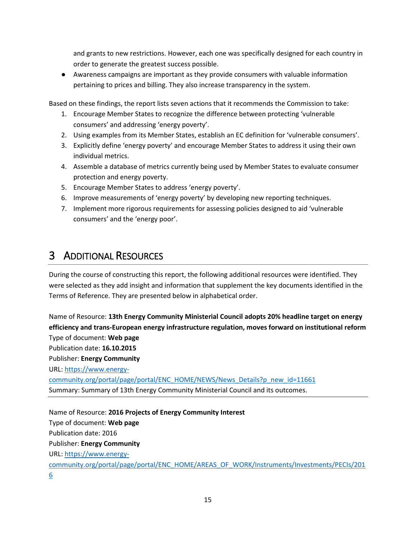and grants to new restrictions. However, each one was specifically designed for each country in order to generate the greatest success possible.

● Awareness campaigns are important as they provide consumers with valuable information pertaining to prices and billing. They also increase transparency in the system.

Based on these findings, the report lists seven actions that it recommends the Commission to take:

- 1. Encourage Member States to recognize the difference between protecting 'vulnerable consumers' and addressing 'energy poverty'.
- 2. Using examples from its Member States, establish an EC definition for 'vulnerable consumers'.
- 3. Explicitly define 'energy poverty' and encourage Member States to address it using their own individual metrics.
- 4. Assemble a database of metrics currently being used by Member States to evaluate consumer protection and energy poverty.
- 5. Encourage Member States to address 'energy poverty'.
- 6. Improve measurements of 'energy poverty' by developing new reporting techniques.
- 7. Implement more rigorous requirements for assessing policies designed to aid 'vulnerable consumers' and the 'energy poor'.

# <span id="page-17-0"></span>3 ADDITIONAL RESOURCES

During the course of constructing this report, the following additional resources were identified. They were selected as they add insight and information that supplement the key documents identified in the Terms of Reference. They are presented below in alphabetical order.

Name of Resource: **13th Energy Community Ministerial Council adopts 20% headline target on energy efficiency and trans-European energy infrastructure regulation, moves forward on institutional reform** Type of document: **Web page**  Publication date: **16.10.2015** Publisher: **Energy Community**  URL: [https://www.energy](https://www.energy-community.org/portal/page/portal/ENC_HOME/NEWS/News_Details?p_new_id=11661)[community.org/portal/page/portal/ENC\\_HOME/NEWS/News\\_Details?p\\_new\\_id=11661](https://www.energy-community.org/portal/page/portal/ENC_HOME/NEWS/News_Details?p_new_id=11661) Summary: Summary of 13th Energy Community Ministerial Council and its outcomes.

Name of Resource: **2016 Projects of Energy Community Interest** Type of document: **Web page** Publication date: 2016 Publisher: **Energy Community** URL: [https://www.energy](https://www.energy-community.org/portal/page/portal/ENC_HOME/AREAS_OF_WORK/Instruments/Investments/PECIs/2016)[community.org/portal/page/portal/ENC\\_HOME/AREAS\\_OF\\_WORK/Instruments/Investments/PECIs/201](https://www.energy-community.org/portal/page/portal/ENC_HOME/AREAS_OF_WORK/Instruments/Investments/PECIs/2016) [6](https://www.energy-community.org/portal/page/portal/ENC_HOME/AREAS_OF_WORK/Instruments/Investments/PECIs/2016)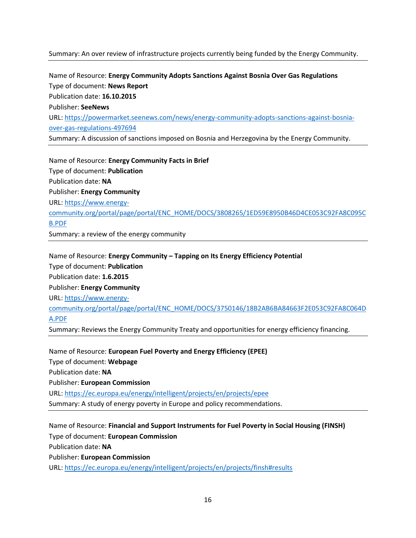Summary: An over review of infrastructure projects currently being funded by the Energy Community.

Name of Resource: **Energy Community Adopts Sanctions Against Bosnia Over Gas Regulations** Type of document: **News Report** Publication date: **16.10.2015** Publisher: **SeeNews** URL: [https://powermarket.seenews.com/news/energy-community-adopts-sanctions-against-bosnia](https://powermarket.seenews.com/news/energy-community-adopts-sanctions-against-bosnia-over-gas-regulations-497694)[over-gas-regulations-497694](https://powermarket.seenews.com/news/energy-community-adopts-sanctions-against-bosnia-over-gas-regulations-497694) Summary: A discussion of sanctions imposed on Bosnia and Herzegovina by the Energy Community.

Name of Resource: **Energy Community Facts in Brief** Type of document: **Publication** Publication date: **NA** Publisher: **Energy Community**  URL: [https://www.energy](https://www.energy-community.org/portal/page/portal/ENC_HOME/DOCS/3808265/1ED59E8950B46D4CE053C92FA8C095CB.PDF)[community.org/portal/page/portal/ENC\\_HOME/DOCS/3808265/1ED59E8950B46D4CE053C92FA8C095C](https://www.energy-community.org/portal/page/portal/ENC_HOME/DOCS/3808265/1ED59E8950B46D4CE053C92FA8C095CB.PDF) [B.PDF](https://www.energy-community.org/portal/page/portal/ENC_HOME/DOCS/3808265/1ED59E8950B46D4CE053C92FA8C095CB.PDF) Summary: a review of the energy community

Name of Resource: **Energy Community – Tapping on Its Energy Efficiency Potential**  Type of document: **Publication** Publication date: **1.6.2015** Publisher: **Energy Community** URL: [https://www.energy](https://www.energy-community.org/portal/page/portal/ENC_HOME/DOCS/3750146/18B2AB6BA84663F2E053C92FA8C064DA.PDF)[community.org/portal/page/portal/ENC\\_HOME/DOCS/3750146/18B2AB6BA84663F2E053C92FA8C064D](https://www.energy-community.org/portal/page/portal/ENC_HOME/DOCS/3750146/18B2AB6BA84663F2E053C92FA8C064DA.PDF) [A.PDF](https://www.energy-community.org/portal/page/portal/ENC_HOME/DOCS/3750146/18B2AB6BA84663F2E053C92FA8C064DA.PDF) Summary: Reviews the Energy Community Treaty and opportunities for energy efficiency financing.

Name of Resource: **European Fuel Poverty and Energy Efficiency (EPEE)** Type of document: **Webpage** Publication date: **NA** Publisher: **European Commission** URL:<https://ec.europa.eu/energy/intelligent/projects/en/projects/epee> Summary: A study of energy poverty in Europe and policy recommendations.

Name of Resource: **Financial and Support Instruments for Fuel Poverty in Social Housing (FINSH)** Type of document: **European Commission** Publication date: **NA** Publisher: **European Commission**  URL:<https://ec.europa.eu/energy/intelligent/projects/en/projects/finsh#results>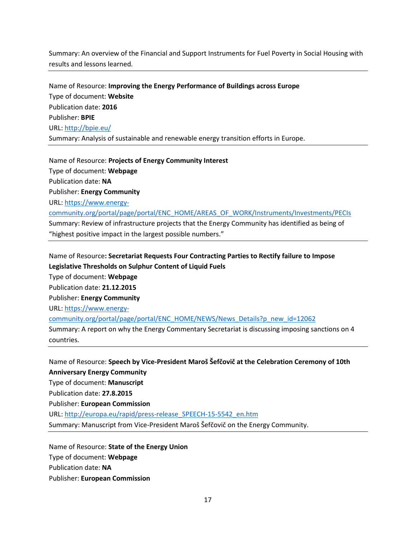Summary: An overview of the Financial and Support Instruments for Fuel Poverty in Social Housing with results and lessons learned.

Name of Resource: **Improving the Energy Performance of Buildings across Europe** Type of document: **Website**  Publication date: **2016** Publisher: **BPIE** URL:<http://bpie.eu/> Summary: Analysis of sustainable and renewable energy transition efforts in Europe.

Name of Resource: **Projects of Energy Community Interest** Type of document: **Webpage** Publication date: **NA** Publisher: **Energy Community**  URL: [https://www.energy](https://www.energy-community.org/portal/page/portal/ENC_HOME/AREAS_OF_WORK/Instruments/Investments/PECIs)[community.org/portal/page/portal/ENC\\_HOME/AREAS\\_OF\\_WORK/Instruments/Investments/PECIs](https://www.energy-community.org/portal/page/portal/ENC_HOME/AREAS_OF_WORK/Instruments/Investments/PECIs) Summary: Review of infrastructure projects that the Energy Community has identified as being of "highest positive impact in the largest possible numbers."

Name of Resource**: Secretariat Requests Four Contracting Parties to Rectify failure to Impose Legislative Thresholds on Sulphur Content of Liquid Fuels** Type of document: **Webpage** Publication date: **21.12.2015** Publisher: **Energy Community**  URL: [https://www.energy](https://www.energy-community.org/portal/page/portal/ENC_HOME/NEWS/News_Details?p_new_id=12062)[community.org/portal/page/portal/ENC\\_HOME/NEWS/News\\_Details?p\\_new\\_id=12062](https://www.energy-community.org/portal/page/portal/ENC_HOME/NEWS/News_Details?p_new_id=12062) Summary: A report on why the Energy Commentary Secretariat is discussing imposing sanctions on 4 countries.

Name of Resource: **Speech by Vice-President Maroš Šefčovič at the Celebration Ceremony of 10th Anniversary Energy Community** Type of document: **Manuscript**  Publication date: **27.8.2015** Publisher: **European Commission** URL: [http://europa.eu/rapid/press-release\\_SPEECH-15-5542\\_en.htm](http://europa.eu/rapid/press-release_SPEECH-15-5542_en.htm) Summary: Manuscript from Vice-President Maroš Šefčovič on the Energy Community.

Name of Resource: **State of the Energy Union** Type of document: **Webpage** Publication date: **NA** Publisher: **European Commission**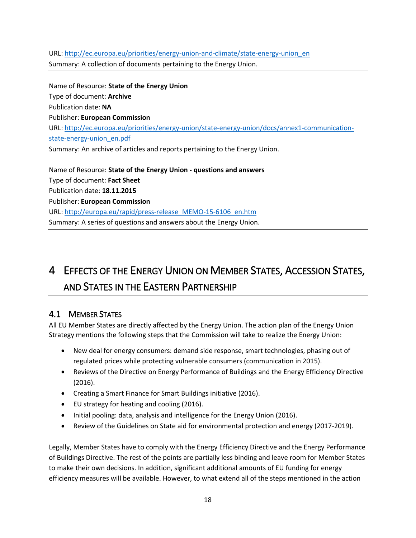URL: [http://ec.europa.eu/priorities/energy-union-and-climate/state-energy-union\\_en](http://ec.europa.eu/priorities/energy-union-and-climate/state-energy-union_en) Summary: A collection of documents pertaining to the Energy Union.

Name of Resource: **State of the Energy Union** Type of document: **Archive**  Publication date: **NA** Publisher: **European Commission** URL: [http://ec.europa.eu/priorities/energy-union/state-energy-union/docs/annex1-communication](http://ec.europa.eu/priorities/energy-union/state-energy-union/docs/annex1-communication-state-energy-union_en.pdf)[state-energy-union\\_en.pdf](http://ec.europa.eu/priorities/energy-union/state-energy-union/docs/annex1-communication-state-energy-union_en.pdf) Summary: An archive of articles and reports pertaining to the Energy Union.

Name of Resource: **State of the Energy Union - questions and answers** Type of document: **Fact Sheet** Publication date: **18.11.2015** Publisher: **European Commission** URL: [http://europa.eu/rapid/press-release\\_MEMO-15-6106\\_en.htm](http://europa.eu/rapid/press-release_MEMO-15-6106_en.htm) Summary: A series of questions and answers about the Energy Union.

# <span id="page-20-0"></span>4 EFFECTS OF THE ENERGY UNION ON MEMBER STATES, ACCESSION STATES, AND STATES IN THE EASTERN PARTNERSHIP

# <span id="page-20-1"></span>4.1 MEMBER STATES

All EU Member States are directly affected by the Energy Union. The action plan of the Energy Union Strategy mentions the following steps that the Commission will take to realize the Energy Union:

- New deal for energy consumers: demand side response, smart technologies, phasing out of regulated prices while protecting vulnerable consumers (communication in 2015).
- Reviews of the Directive on Energy Performance of Buildings and the Energy Efficiency Directive (2016).
- Creating a Smart Finance for Smart Buildings initiative (2016).
- EU strategy for heating and cooling (2016).
- Initial pooling: data, analysis and intelligence for the Energy Union (2016).
- Review of the Guidelines on State aid for environmental protection and energy (2017-2019).

Legally, Member States have to comply with the Energy Efficiency Directive and the Energy Performance of Buildings Directive. The rest of the points are partially less binding and leave room for Member States to make their own decisions. In addition, significant additional amounts of EU funding for energy efficiency measures will be available. However, to what extend all of the steps mentioned in the action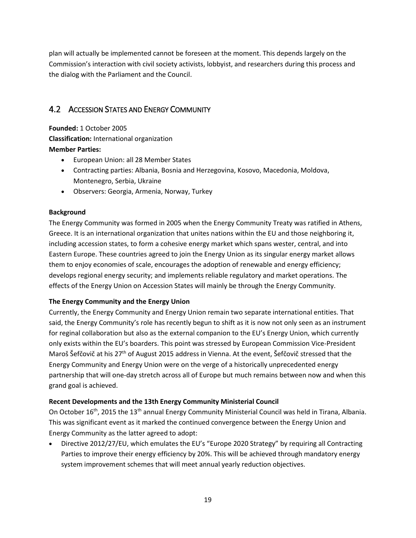plan will actually be implemented cannot be foreseen at the moment. This depends largely on the Commission's interaction with civil society activists, lobbyist, and researchers during this process and the dialog with the Parliament and the Council.

# <span id="page-21-0"></span>4.2 ACCESSION STATES AND ENERGY COMMUNITY

**Founded:** 1 October 2005 **Classification:** International organization **Member Parties:** 

- European Union: all 28 Member States
- Contracting parties: Albania, Bosnia and Herzegovina, Kosovo, Macedonia, Moldova, Montenegro, Serbia, Ukraine
- Observers: Georgia, Armenia, Norway, Turkey

#### **Background**

The Energy Community was formed in 2005 when the Energy Community Treaty was ratified in Athens, Greece. It is an international organization that unites nations within the EU and those neighboring it, including accession states, to form a cohesive energy market which spans wester, central, and into Eastern Europe. These countries agreed to join the Energy Union as its singular energy market allows them to enjoy economies of scale, encourages the adoption of renewable and energy efficiency; develops regional energy security; and implements reliable regulatory and market operations. The effects of the Energy Union on Accession States will mainly be through the Energy Community.

#### **The Energy Community and the Energy Union**

Currently, the Energy Community and Energy Union remain two separate international entities. That said, the Energy Community's role has recently begun to shift as it is now not only seen as an instrument for reginal collaboration but also as the external companion to the EU's Energy Union, which currently only exists within the EU's boarders. This point was stressed by European Commission Vice-President Maroš Šefčovič at his 27<sup>th</sup> of August 2015 address in Vienna. At the event, Šefčovič stressed that the Energy Community and Energy Union were on the verge of a historically unprecedented energy partnership that will one-day stretch across all of Europe but much remains between now and when this grand goal is achieved.

### **Recent Developments and the 13th Energy Community Ministerial Council**

On October 16<sup>th</sup>, 2015 the 13<sup>th</sup> annual Energy Community Ministerial Council was held in Tirana, Albania. This was significant event as it marked the continued convergence between the Energy Union and Energy Community as the latter agreed to adopt:

 Directive 2012/27/EU, which emulates the EU's "Europe 2020 Strategy" by requiring all Contracting Parties to improve their energy efficiency by 20%. This will be achieved through mandatory energy system improvement schemes that will meet annual yearly reduction objectives.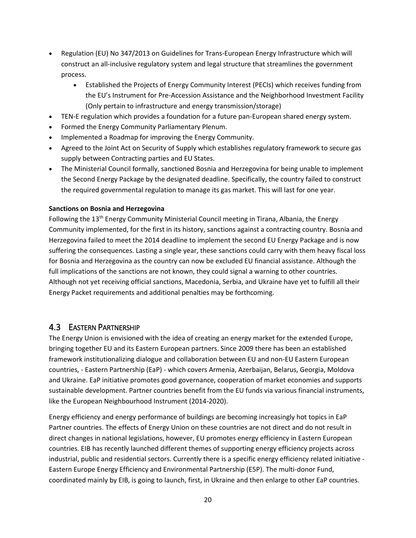- Regulation (EU) No 347/2013 on Guidelines for Trans-European Energy Infrastructure which will construct an all-inclusive regulatory system and legal structure that streamlines the government process.
	- Established the Projects of Energy Community Interest (PECIs) which receives funding from the EU's Instrument for Pre-Accession Assistance and the Neighborhood Investment Facility (Only pertain to infrastructure and energy transmission/storage)
- TEN-E regulation which provides a foundation for a future pan-European shared energy system.
- Formed the Energy Community Parliamentary Plenum.
- Implemented a Roadmap for improving the Energy Community.
- Agreed to the Joint Act on Security of Supply which establishes regulatory framework to secure gas supply between Contracting parties and EU States.
- The Ministerial Council formally, sanctioned Bosnia and Herzegovina for being unable to implement the Second Energy Package by the designated deadline. Specifically, the country failed to construct the required governmental regulation to manage its gas market. This will last for one year.

#### **Sanctions on Bosnia and Herzegovina**

Following the 13<sup>th</sup> Energy Community Ministerial Council meeting in Tirana, Albania, the Energy Community implemented, for the first in its history, sanctions against a contracting country. Bosnia and Herzegovina failed to meet the 2014 deadline to implement the second EU Energy Package and is now suffering the consequences. Lasting a single year, these sanctions could carry with them heavy fiscal loss for Bosnia and Herzegovina as the country can now be excluded EU financial assistance. Although the full implications of the sanctions are not known, they could signal a warning to other countries. Although not yet receiving official sanctions, Macedonia, Serbia, and Ukraine have yet to fulfill all their Energy Packet requirements and additional penalties may be forthcoming.

### <span id="page-22-0"></span>4.3 EASTERN PARTNERSHIP

The Energy Union is envisioned with the idea of creating an energy market for the extended Europe, bringing together EU and its Eastern European partners. Since 2009 there has been an established framework institutionalizing dialogue and collaboration between EU and non-EU Eastern European countries, - Eastern Partnership (EaP) - which covers Armenia, Azerbaijan, Belarus, Georgia, Moldova and Ukraine. EaP initiative promotes good governance, cooperation of market economies and supports sustainable development. Partner countries benefit from the EU funds via various financial instruments, like the European Neighbourhood Instrument (2014-2020).

Energy efficiency and energy performance of buildings are becoming increasingly hot topics in EaP Partner countries. The effects of Energy Union on these countries are not direct and do not result in direct changes in national legislations, however, EU promotes energy efficiency in Eastern European countries. EIB has recently launched different themes of supporting energy efficiency projects across industrial, public and residential sectors. Currently there is a specific energy efficiency related initiative - Eastern Europe Energy Efficiency and Environmental Partnership (E5P). The multi-donor Fund, coordinated mainly by EIB, is going to launch, first, in Ukraine and then enlarge to other EaP countries.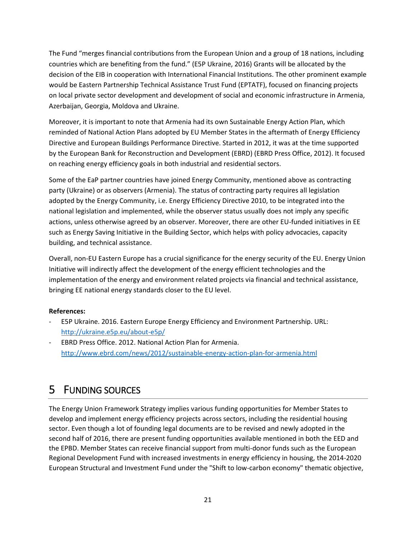The Fund "merges financial contributions from the European Union and a group of 18 nations, including countries which are benefiting from the fund." (E5P Ukraine, 2016) Grants will be allocated by the decision of the EIB in cooperation with International Financial Institutions. The other prominent example would be Eastern Partnership Technical Assistance Trust Fund (EPTATF), focused on financing projects on local private sector development and development of social and economic infrastructure in Armenia, Azerbaijan, Georgia, Moldova and Ukraine.

Moreover, it is important to note that Armenia had its own Sustainable Energy Action Plan, which reminded of National Action Plans adopted by EU Member States in the aftermath of Energy Efficiency Directive and European Buildings Performance Directive. Started in 2012, it was at the time supported by the European Bank for Reconstruction and Development (EBRD) (EBRD Press Office, 2012). It focused on reaching energy efficiency goals in both industrial and residential sectors.

Some of the EaP partner countries have joined Energy Community, mentioned above as contracting party (Ukraine) or as observers (Armenia). The status of contracting party requires all legislation adopted by the Energy Community, i.e. Energy Efficiency Directive 2010, to be integrated into the national legislation and implemented, while the observer status usually does not imply any specific actions, unless otherwise agreed by an observer. Moreover, there are other EU-funded initiatives in EE such as Energy Saving Initiative in the Building Sector, which helps with policy advocacies, capacity building, and technical assistance.

Overall, non-EU Eastern Europe has a crucial significance for the energy security of the EU. Energy Union Initiative will indirectly affect the development of the energy efficient technologies and the implementation of the energy and environment related projects via financial and technical assistance, bringing EE national energy standards closer to the EU level.

#### **References:**

- E5P Ukraine. 2016. Eastern Europe Energy Efficiency and Environment Partnership. URL: <http://ukraine.e5p.eu/about-e5p/>
- EBRD Press Office. 2012. National Action Plan for Armenia. <http://www.ebrd.com/news/2012/sustainable-energy-action-plan-for-armenia.html>

# <span id="page-23-0"></span>5 FUNDING SOURCES

The Energy Union Framework Strategy implies various funding opportunities for Member States to develop and implement energy efficiency projects across sectors, including the residential housing sector. Even though a lot of founding legal documents are to be revised and newly adopted in the second half of 2016, there are present funding opportunities available mentioned in both the EED and the EPBD. Member States can receive financial support from multi-donor funds such as the European Regional Development Fund with increased investments in energy efficiency in housing, the 2014-2020 European Structural and Investment Fund under the "Shift to low-carbon economy" thematic objective,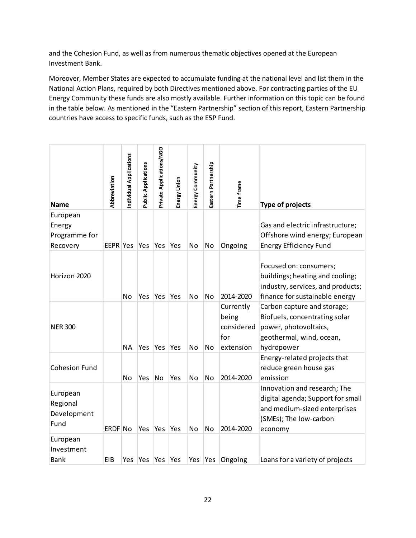and the Cohesion Fund, as well as from numerous thematic objectives opened at the European Investment Bank.

Moreover, Member States are expected to accumulate funding at the national level and list them in the National Action Plans, required by both Directives mentioned above. For contracting parties of the EU Energy Community these funds are also mostly available. Further information on this topic can be found in the table below. As mentioned in the "Eastern Partnership" section of this report, Eastern Partnership countries have access to specific funds, such as the E5P Fund.

| <b>Name</b>                                 | Abbreviation | Individual Applications | <b>Public Applications</b> | Private Applications/NGO | Energy Union | Energy Community | Eastern Partnership | Time frame                                           | <b>Type of projects</b>                                                                                                                |
|---------------------------------------------|--------------|-------------------------|----------------------------|--------------------------|--------------|------------------|---------------------|------------------------------------------------------|----------------------------------------------------------------------------------------------------------------------------------------|
| European                                    |              |                         |                            |                          |              |                  |                     |                                                      |                                                                                                                                        |
| Energy                                      |              |                         |                            |                          |              |                  |                     |                                                      | Gas and electric infrastructure;                                                                                                       |
| Programme for                               |              |                         |                            |                          |              |                  |                     |                                                      | Offshore wind energy; European                                                                                                         |
| Recovery                                    | EEPR Yes     |                         | Yes                        | Yes                      | Yes          | No               | No                  | Ongoing                                              | <b>Energy Efficiency Fund</b>                                                                                                          |
| Horizon 2020                                |              | No                      | Yes                        | Yes                      | Yes          | No               | No                  | 2014-2020                                            | Focused on: consumers;<br>buildings; heating and cooling;<br>industry, services, and products;<br>finance for sustainable energy       |
| <b>NER 300</b>                              |              | <b>NA</b>               | Yes                        | Yes                      | Yes          | No               | No                  | Currently<br>being<br>considered<br>for<br>extension | Carbon capture and storage;<br>Biofuels, concentrating solar<br>power, photovoltaics,<br>geothermal, wind, ocean,<br>hydropower        |
| <b>Cohesion Fund</b>                        |              | No                      | Yes                        | <b>No</b>                | Yes          | No               | No                  | 2014-2020                                            | Energy-related projects that<br>reduce green house gas<br>emission                                                                     |
| European<br>Regional<br>Development<br>Fund | ERDF No      |                         |                            | Yes Yes                  | <b>Yes</b>   | No               | No                  | 2014-2020                                            | Innovation and research; The<br>digital agenda; Support for small<br>and medium-sized enterprises<br>(SMEs); The low-carbon<br>economy |
| European<br>Investment<br>Bank              | EIB          | Yes                     |                            | Yes Yes                  | Yes          |                  | Yes Yes             | Ongoing                                              | Loans for a variety of projects                                                                                                        |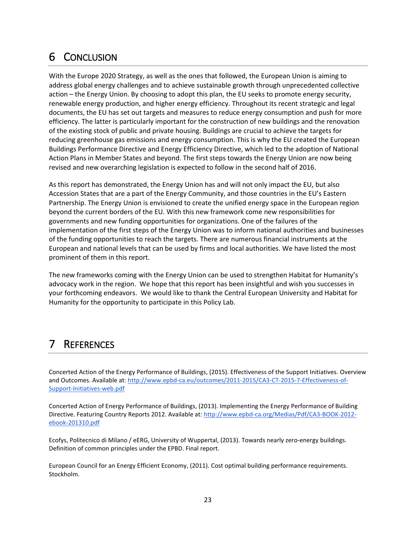# <span id="page-25-0"></span>6 CONCLUSION

With the Europe 2020 Strategy, as well as the ones that followed, the European Union is aiming to address global energy challenges and to achieve sustainable growth through unprecedented collective action – the Energy Union. By choosing to adopt this plan, the EU seeks to promote energy security, renewable energy production, and higher energy efficiency. Throughout its recent strategic and legal documents, the EU has set out targets and measures to reduce energy consumption and push for more efficiency. The latter is particularly important for the construction of new buildings and the renovation of the existing stock of public and private housing. Buildings are crucial to achieve the targets for reducing greenhouse gas emissions and energy consumption. This is why the EU created the European Buildings Performance Directive and Energy Efficiency Directive, which led to the adoption of National Action Plans in Member States and beyond. The first steps towards the Energy Union are now being revised and new overarching legislation is expected to follow in the second half of 2016.

As this report has demonstrated, the Energy Union has and will not only impact the EU, but also Accession States that are a part of the Energy Community, and those countries in the EU's Eastern Partnership. The Energy Union is envisioned to create the unified energy space in the European region beyond the current borders of the EU. With this new framework come new responsibilities for governments and new funding opportunities for organizations. One of the failures of the implementation of the first steps of the Energy Union was to inform national authorities and businesses of the funding opportunities to reach the targets. There are numerous financial instruments at the European and national levels that can be used by firms and local authorities. We have listed the most prominent of them in this report.

The new frameworks coming with the Energy Union can be used to strengthen Habitat for Humanity's advocacy work in the region. We hope that this report has been insightful and wish you successes in your forthcoming endeavors. We would like to thank the Central European University and Habitat for Humanity for the opportunity to participate in this Policy Lab.

# <span id="page-25-1"></span>7 REFERENCES

Concerted Action of the Energy Performance of Buildings, (2015). Effectiveness of the Support Initiatives. Overview and Outcomes. Available at: [http://www.epbd-ca.eu/outcomes/2011-2015/CA3-CT-2015-7-Effectiveness-of-](http://www.epbd-ca.eu/outcomes/2011-2015/CA3-CT-2015-7-Effectiveness-of-Support-Initiatives-web.pdf)[Support-Initiatives-web.pdf](http://www.epbd-ca.eu/outcomes/2011-2015/CA3-CT-2015-7-Effectiveness-of-Support-Initiatives-web.pdf)

Concerted Action of Energy Performance of Buildings, (2013). Implementing the Energy Performance of Building Directive. Featuring Country Reports 2012. Available at: [http://www.epbd-ca.org/Medias/Pdf/CA3-BOOK-2012](http://www.epbd-ca.org/Medias/Pdf/CA3-BOOK-2012-ebook-201310.pdf) [ebook-201310.pdf](http://www.epbd-ca.org/Medias/Pdf/CA3-BOOK-2012-ebook-201310.pdf)

Ecofys, Politecnico di Milano / eERG, University of Wuppertal, (2013). Towards nearly zero-energy buildings. Definition of common principles under the EPBD. Final report.

European Council for an Energy Efficient Economy, (2011). Cost optimal building performance requirements. Stockholm.